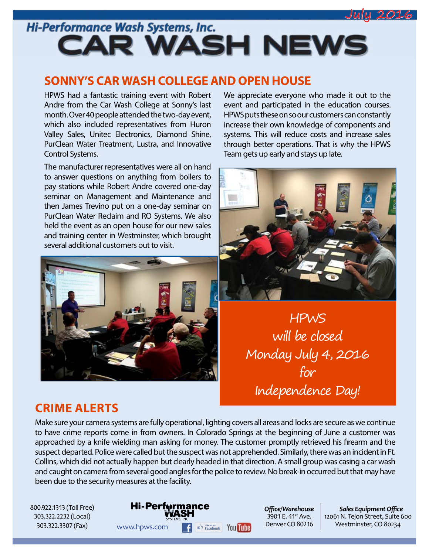

# Hi-Performance Wash Systems, Inc. **CAR WASH NEWS**

### **SONNY'S CAR WASH COLLEGE AND OPEN HOUSE**

HPWS had a fantastic training event with Robert Andre from the Car Wash College at Sonny's last month. Over 40 people attended the two-day event, which also included representatives from Huron Valley Sales, Unitec Electronics, Diamond Shine, PurClean Water Treatment, Lustra, and Innovative Control Systems.

The manufacturer representatives were all on hand to answer questions on anything from boilers to pay stations while Robert Andre covered one-day seminar on Management and Maintenance and then James Trevino put on a one-day seminar on PurClean Water Reclaim and RO Systems. We also held the event as an open house for our new sales and training center in Westminster, which brought several additional customers out to visit.



We appreciate everyone who made it out to the event and participated in the education courses. HPWS puts these on so our customers can constantly increase their own knowledge of components and systems. This will reduce costs and increase sales through better operations. That is why the HPWS Team gets up early and stays up late.



HPWS will be closed Monday July 4, 2016 for Independence Day!

## **CRIME ALERTS**

Make sure your camera systems are fully operational, lighting covers all areas and locks are secure as we continue to have crime reports come in from owners. In Colorado Springs at the beginning of June a customer was approached by a knife wielding man asking for money. The customer promptly retrieved his firearm and the suspect departed. Police were called but the suspect was not apprehended. Similarly, there was an incident in Ft. Collins, which did not actually happen but clearly headed in that direction. A small group was casing a car wash and caught on camera from several good angles for the police to review. No break-in occurred but that may have been due to the security measures at the facility.

800.922.1313 (Toll Free) 303.322.2232 (Local) 303.322.3307 (Fax)

**Hi-Performance** WWW.hpws.com **F**  $\bigoplus_{\text{Facebook}}$  You The **Denver CO 80216** Westminster, CO 80234

*Offi ce/Warehouse*  $3901$  E. 41st Ave. Denver CO 80216

**Sales Equipment Office** 12061 N. Tejon Street, Suite 600